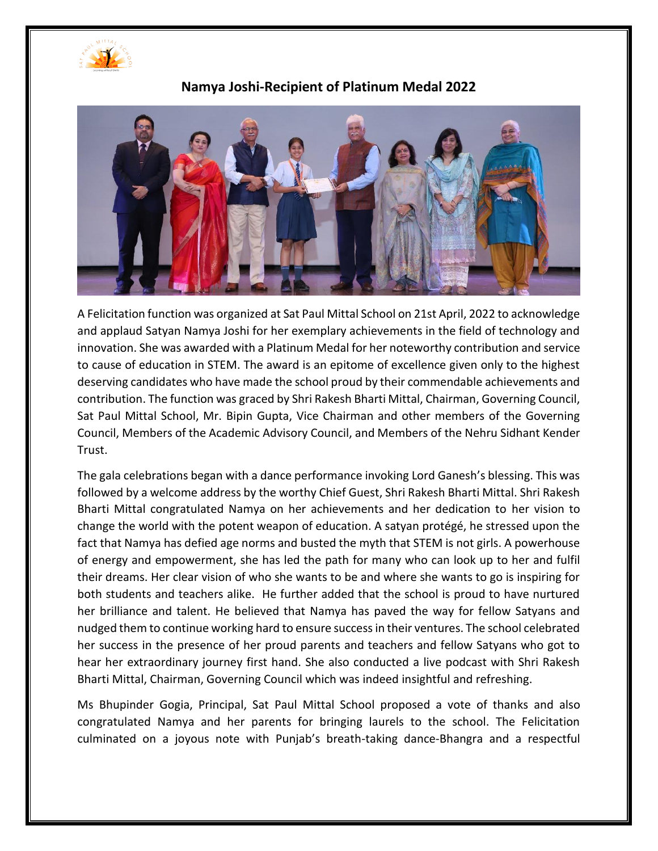



**Namya Joshi-Recipient of Platinum Medal 2022**

A Felicitation function was organized at Sat Paul Mittal School on 21st April, 2022 to acknowledge and applaud Satyan Namya Joshi for her exemplary achievements in the field of technology and innovation. She was awarded with a Platinum Medal for her noteworthy contribution and service to cause of education in STEM. The award is an epitome of excellence given only to the highest deserving candidates who have made the school proud by their commendable achievements and contribution. The function was graced by Shri Rakesh Bharti Mittal, Chairman, Governing Council, Sat Paul Mittal School, Mr. Bipin Gupta, Vice Chairman and other members of the Governing Council, Members of the Academic Advisory Council, and Members of the Nehru Sidhant Kender Trust.

The gala celebrations began with a dance performance invoking Lord Ganesh's blessing. This was followed by a welcome address by the worthy Chief Guest, Shri Rakesh Bharti Mittal. Shri Rakesh Bharti Mittal congratulated Namya on her achievements and her dedication to her vision to change the world with the potent weapon of education. A satyan protégé, he stressed upon the fact that Namya has defied age norms and busted the myth that STEM is not girls. A powerhouse of energy and empowerment, she has led the path for many who can look up to her and fulfil their dreams. Her clear vision of who she wants to be and where she wants to go is inspiring for both students and teachers alike. He further added that the school is proud to have nurtured her brilliance and talent. He believed that Namya has paved the way for fellow Satyans and nudged them to continue working hard to ensure success in their ventures. The school celebrated her success in the presence of her proud parents and teachers and fellow Satyans who got to hear her extraordinary journey first hand. She also conducted a live podcast with Shri Rakesh Bharti Mittal, Chairman, Governing Council which was indeed insightful and refreshing.

Ms Bhupinder Gogia, Principal, Sat Paul Mittal School proposed a vote of thanks and also congratulated Namya and her parents for bringing laurels to the school. The Felicitation culminated on a joyous note with Punjab's breath-taking dance-Bhangra and a respectful